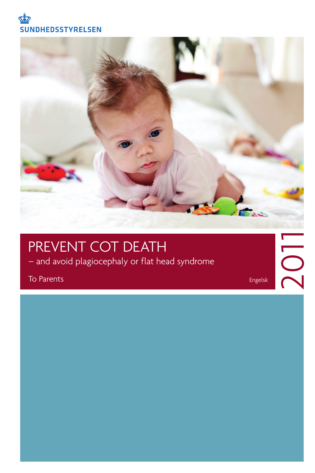



### PREVENT COT DEATH

– and avoid plagiocephaly or flat head syndrome

To Parents

Engelsk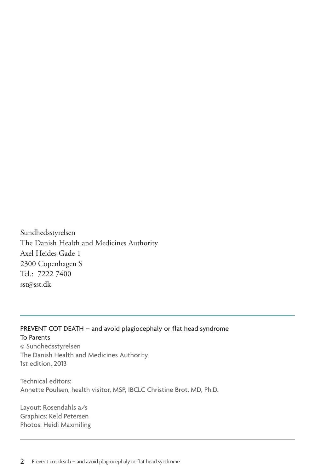Sundhedsstyrelsen The Danish Health and Medicines Authority Axel Heides Gade 1 2300 Copenhagen S Tel.: 7222 7400 sst@sst.dk

#### PREVENT COT DEATH – and avoid plagiocephaly or flat head syndrome To Parents

© Sundhedsstyrelsen The Danish Health and Medicines Authority 1st edition, 2013

Technical editors: Annette Poulsen, health visitor, MSP, IBCLC Christine Brot, MD, Ph.D.

Layout: Rosendahls a/s Graphics: Keld Petersen Photos: Heidi Maxmiling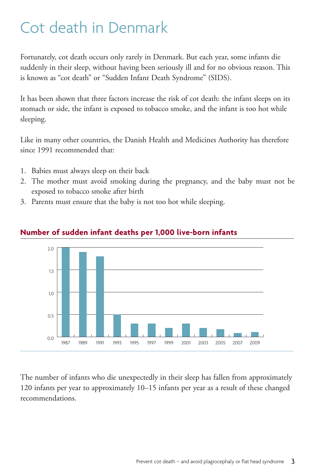# Cot death in Denmark

Fortunately, cot death occurs only rarely in Denmark. But each year, some infants die suddenly in their sleep, without having been seriously ill and for no obvious reason. This is known as "cot death" or "Sudden Infant Death Syndrome" (SIDS).

It has been shown that three factors increase the risk of cot death: the infant sleeps on its stomach or side, the infant is exposed to tobacco smoke, and the infant is too hot while sleeping.

Like in many other countries, the Danish Health and Medicines Authority has therefore since 1991 recommended that:

- 1. Babies must always sleep on their back
- 2. The mother must avoid smoking during the pregnancy, and the baby must not be exposed to tobacco smoke after birth
- 3. Parents must ensure that the baby is not too hot while sleeping.



#### **Number of sudden infant deaths per 1,000 live-born infants**

The number of infants who die unexpectedly in their sleep has fallen from approximately 120 infants per year to approximately 10–15 infants per year as a result of these changed recommendations.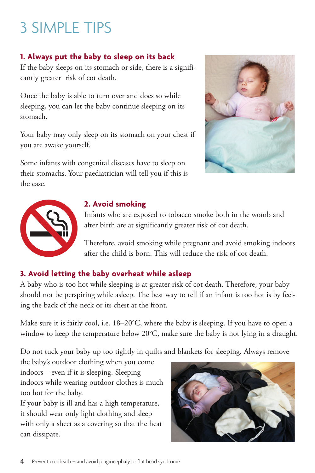# 3 SIMPLE TIPS

### **1. Always put the baby to sleep on its back**

If the baby sleeps on its stomach or side, there is a significantly greater risk of cot death.

Once the baby is able to turn over and does so while sleeping, you can let the baby continue sleeping on its stomach.

Your baby may only sleep on its stomach on your chest if you are awake yourself.

Some infants with congenital diseases have to sleep on their stomachs. Your paediatrician will tell you if this is the case.





#### **2. Avoid smoking**

Infants who are exposed to tobacco smoke both in the womb and after birth are at significantly greater risk of cot death.

Therefore, avoid smoking while pregnant and avoid smoking indoors after the child is born. This will reduce the risk of cot death.

### **3. Avoid letting the baby overheat while asleep**

A baby who is too hot while sleeping is at greater risk of cot death. Therefore, your baby should not be perspiring while asleep. The best way to tell if an infant is too hot is by feeling the back of the neck or its chest at the front.

Make sure it is fairly cool, i.e. 18–20°C, where the baby is sleeping. If you have to open a window to keep the temperature below 20°C, make sure the baby is not lying in a draught.

Do not tuck your baby up too tightly in quilts and blankets for sleeping. Always remove

the baby's outdoor clothing when you come indoors – even if it is sleeping. Sleeping indoors while wearing outdoor clothes is much too hot for the baby.

If your baby is ill and has a high temperature, it should wear only light clothing and sleep with only a sheet as a covering so that the heat can dissipate.

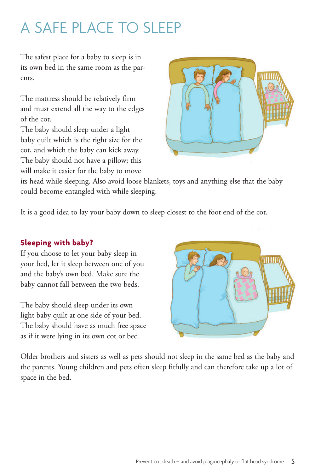# A SAFE PLACE TO SLEEP

The safest place for a baby to sleep is in its own bed in the same room as the parents.

The mattress should be relatively firm and must extend all the way to the edges of the cot.

The baby should sleep under a light baby quilt which is the right size for the cot, and which the baby can kick away. The baby should not have a pillow; this will make it easier for the baby to move



its head while sleeping. Also avoid loose blankets, toys and anything else that the baby could become entangled with while sleeping.

It is a good idea to lay your baby down to sleep closest to the foot end of the cot.

### **Sleeping with baby?**

If you choose to let your baby sleep in your bed, let it sleep between one of you and the baby's own bed. Make sure the baby cannot fall between the two beds.

The baby should sleep under its own light baby quilt at one side of your bed. The baby should have as much free space as if it were lying in its own cot or bed.



Older brothers and sisters as well as pets should not sleep in the same bed as the baby and the parents. Young children and pets often sleep fitfully and can therefore take up a lot of space in the bed.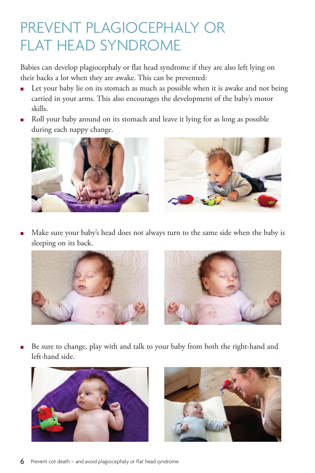## PREVENT PLAGIOCEPHALY OR FLAT HEAD SYNDROME

Babies can develop plagiocephaly or flat head syndrome if they are also left lying on their backs a lot when they are awake. This can be prevented:

- Let your baby lie on its stomach as much as possible when it is awake and not being carried in your arms. This also encourages the development of the baby's motor skills.
- Roll your baby around on its stomach and leave it lying for as long as possible during each nappy change.



 Make sure your baby's head does not always turn to the same side when the baby is sleeping on its back.



 Be sure to change, play with and talk to your baby from both the right-hand and left-hand side.



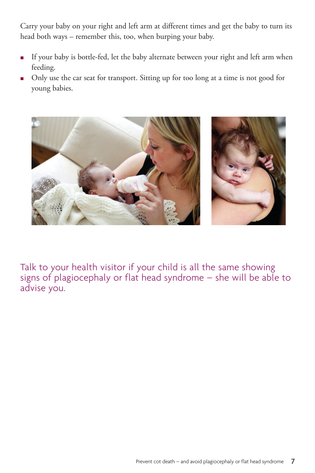Carry your baby on your right and left arm at different times and get the baby to turn its head both ways – remember this, too, when burping your baby.

- If your baby is bottle-fed, let the baby alternate between your right and left arm when feeding.
- Only use the car seat for transport. Sitting up for too long at a time is not good for young babies.



Talk to your health visitor if your child is all the same showing signs of plagiocephaly or flat head syndrome – she will be able to advise you.